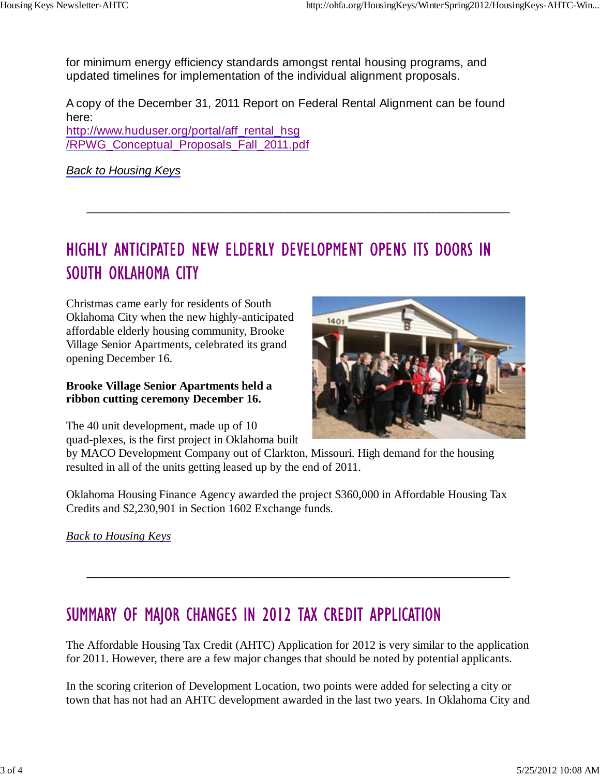for minimum energy efficiency standards amongst rental housing programs, and updated timelines for implementation of the individual alignment proposals.

A copy of the December 31, 2011 Report on Federal Rental Alignment can be found here: http://www.huduser.org/portal/aff\_rental\_hsg /RPWG\_Conceptual\_Proposals\_Fall\_2011.pdf

*Back to Housing Keys*

## HIGHLY ANTICIPATED NEW ELDERLY DEVELOPMENT OPENS ITS DOORS IN SOUTH OKLAHOMA CITY

**\_\_\_\_\_\_\_\_\_\_\_\_\_\_\_\_\_\_\_\_\_\_\_\_\_\_\_\_\_\_\_\_\_\_\_\_\_\_\_\_\_\_\_\_\_\_\_\_\_\_\_\_\_\_\_\_\_\_\_\_\_\_\_\_\_\_\_\_\_\_\_\_**

Christmas came early for residents of South Oklahoma City when the new highly-anticipated affordable elderly housing community, Brooke Village Senior Apartments, celebrated its grand opening December 16.

## **Brooke Village Senior Apartments held a ribbon cutting ceremony December 16.**

The 40 unit development, made up of 10 quad-plexes, is the first project in Oklahoma built



by MACO Development Company out of Clarkton, Missouri. High demand for the housing resulted in all of the units getting leased up by the end of 2011.

Oklahoma Housing Finance Agency awarded the project \$360,000 in Affordable Housing Tax Credits and \$2,230,901 in Section 1602 Exchange funds.

*Back to Housing Keys*

## SUMMARY OF MAJOR CHANGES IN 2012 TAX CREDIT APPLICATION

The Affordable Housing Tax Credit (AHTC) Application for 2012 is very similar to the application for 2011. However, there are a few major changes that should be noted by potential applicants.

**\_\_\_\_\_\_\_\_\_\_\_\_\_\_\_\_\_\_\_\_\_\_\_\_\_\_\_\_\_\_\_\_\_\_\_\_\_\_\_\_\_\_\_\_\_\_\_\_\_\_\_\_\_\_\_\_\_\_\_\_\_\_\_\_\_\_\_\_\_\_\_\_**

In the scoring criterion of Development Location, two points were added for selecting a city or town that has not had an AHTC development awarded in the last two years. In Oklahoma City and